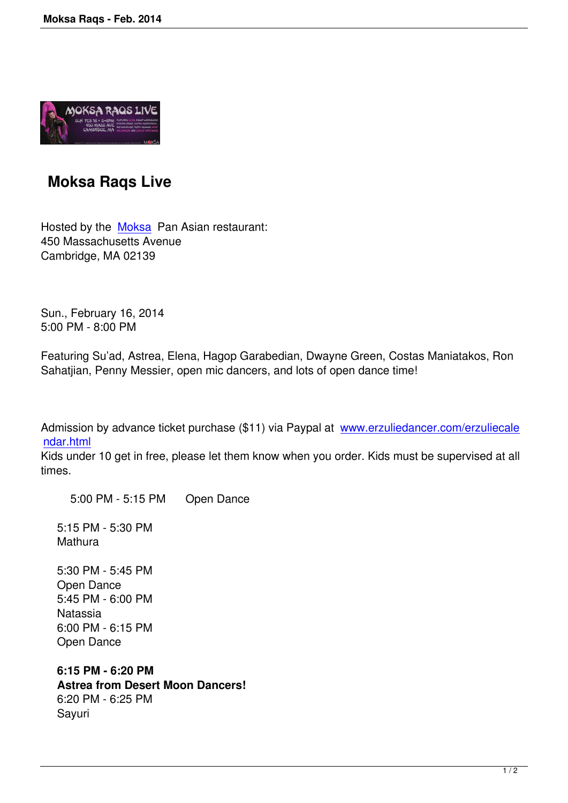

## **Moksa Raqs Live**

Hosted by the Moksa Pan Asian restaurant: 450 Massachusetts Avenue Cambridge, MA 02139

Sun., February 16, 2014 5:00 PM - 8:00 PM

Featuring Su'ad, Astrea, Elena, Hagop Garabedian, Dwayne Green, Costas Maniatakos, Ron Sahatjian, Penny Messier, open mic dancers, and lots of open dance time!

Admission by advance ticket purchase (\$11) via Paypal at www.erzuliedancer.com/erzuliecale ndar.html

Kids under 10 get in free, please let them know when you order. Kids must be supervised at all times.

 [5:00](http://www.erzuliedancer.com/erzuliecalendar.html) PM - 5:15 PM Open Dance

 5:15 PM - 5:30 PM **Mathura** 

 5:30 PM - 5:45 PM Open Dance 5:45 PM - 6:00 PM **Natassia**  6:00 PM - 6:15 PM Open Dance

 **6:15 PM - 6:20 PM Astrea from Desert Moon Dancers!** 6:20 PM - 6:25 PM Sayuri